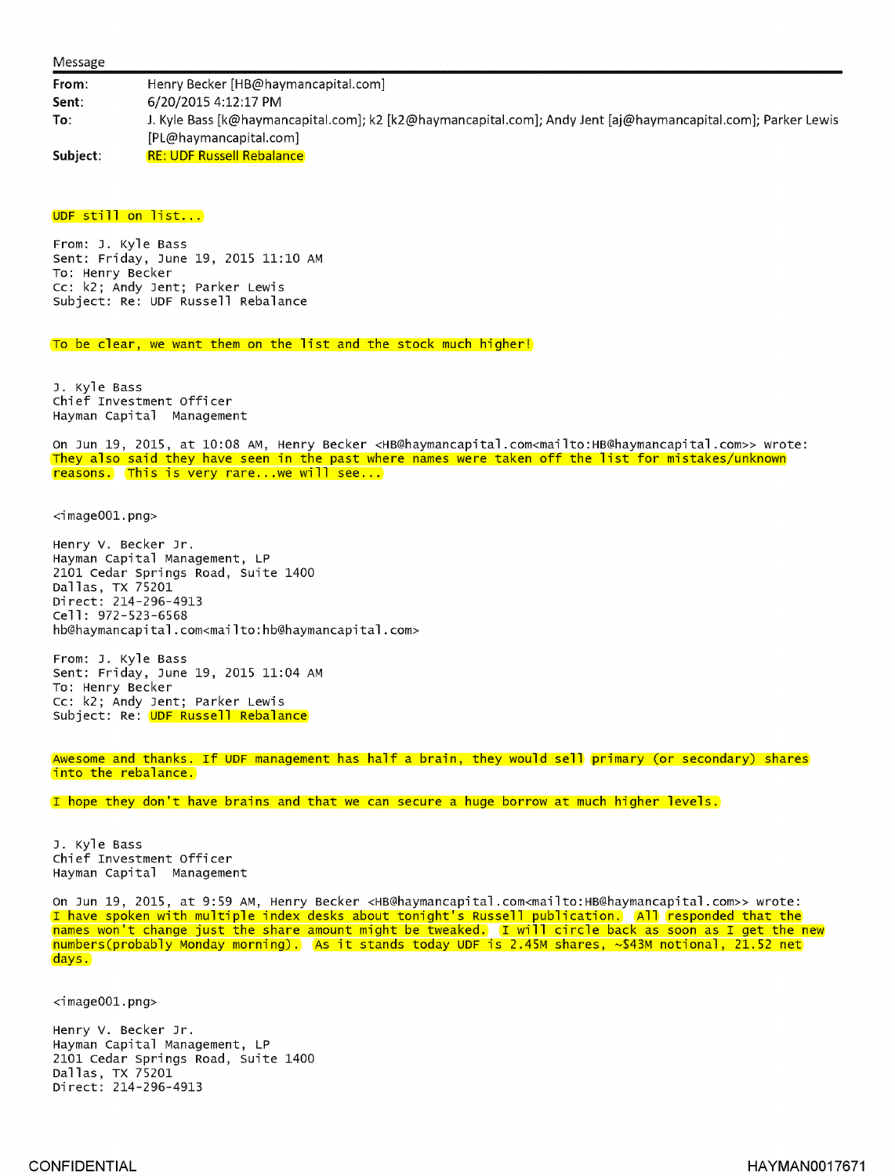From: Henry Becker [HB@haymancapital.com] Sent: 6/20/2015 4:12:17 PM To: J. Kyle Bass [k@haymancapital.com]; k2 [k2@haymancapital.com]; Andy Jent [aj@haymancapital.com]; Parker Lewis [PL@haymancapital.corn] Subject: RE: UDF Russell Rebalance

## UDF still on list...

From: J. Kyle Bass Sent: Friday, June 19, 2015 11:10 AM To: Henry Becker Cc: k2; Andy Jent; Parker Lewis Subject: Re: UDF Russell Rebalance

To be clear, we want them on the list and the stock much higher!

J. Kyle Bass Chief Investment Officer Hayman Capital Management

On Jun 19, 2015, at 10:08 AM, Henry Becker <HB@haymancapital.com<mailto:HB@haymancapital.com» wrote: They also said they have seen in the past where names were taken off the list for mistakes/unknown reasons. This is very rare.. .we will see...

<image001.png>

Henry V. Becker Jr. Hayman Capital Management, LP 2101 Cedar Springs Road, Suite 1400 Dallas, TX 75201 Direct: 214-296-4913 Cell: 972-523-6568 h b@haymancapital.com<mailto:hb@haymancapital .com>

From: J. Kyle Bass Sent: Friday, June 19, 2015 11:04 AM To: Henry Becker Cc: k2; Andy Jent; Parker Lewis Subject: Re: UDF Russell Rebalance

Awesome and thanks. If UDF management has half a brain, they would sell primary (or secondary) shares into the rebalance.

I hope they don't have brains and that we can secure a huge borrow at much higher levels.

J. Kyle Bass Chief Investment Officer Hayman Capital Management

On Jun 19, 2015, at 9:59 AM, Henry Becker <HB@haymancapital.com<mailto:HBftaymancapital.com» wrote: I have spoken with multiple index desks about tonight's Russell publication. All responded that the names won't change just the share amount might be tweaked. I will circle back as soon as I get the new numbers(probably Monday morning). As it stands today UDF is 2.45M shares,  $\sim$ \$43M notional, 21.52 net days.

<image001.png>

Henry V. Becker Jr. Hayman Capital Management, LP 2101 Cedar Springs Road, Suite 1400 Dallas, TX 75201 Direct: 214-296-4913